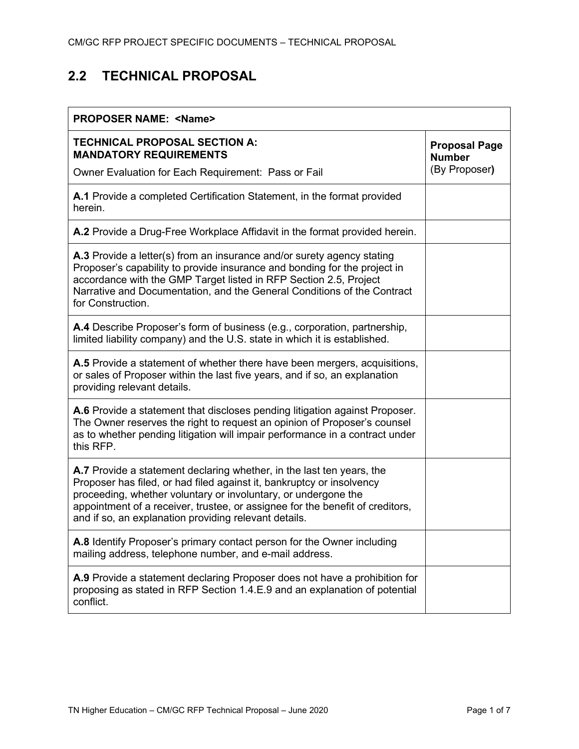# **2.2 TECHNICAL PROPOSAL**

| <b>PROPOSER NAME: <name></name></b>                                                                                                                                                                                                                                                                                                                        |                                       |  |
|------------------------------------------------------------------------------------------------------------------------------------------------------------------------------------------------------------------------------------------------------------------------------------------------------------------------------------------------------------|---------------------------------------|--|
| <b>TECHNICAL PROPOSAL SECTION A:</b><br><b>MANDATORY REQUIREMENTS</b>                                                                                                                                                                                                                                                                                      | <b>Proposal Page</b><br><b>Number</b> |  |
| Owner Evaluation for Each Requirement: Pass or Fail                                                                                                                                                                                                                                                                                                        | (By Proposer)                         |  |
| A.1 Provide a completed Certification Statement, in the format provided<br>herein.                                                                                                                                                                                                                                                                         |                                       |  |
| A.2 Provide a Drug-Free Workplace Affidavit in the format provided herein.                                                                                                                                                                                                                                                                                 |                                       |  |
| <b>A.3</b> Provide a letter(s) from an insurance and/or surety agency stating<br>Proposer's capability to provide insurance and bonding for the project in<br>accordance with the GMP Target listed in RFP Section 2.5, Project<br>Narrative and Documentation, and the General Conditions of the Contract<br>for Construction.                            |                                       |  |
| A.4 Describe Proposer's form of business (e.g., corporation, partnership,<br>limited liability company) and the U.S. state in which it is established.                                                                                                                                                                                                     |                                       |  |
| <b>A.5</b> Provide a statement of whether there have been mergers, acquisitions,<br>or sales of Proposer within the last five years, and if so, an explanation<br>providing relevant details.                                                                                                                                                              |                                       |  |
| A.6 Provide a statement that discloses pending litigation against Proposer.<br>The Owner reserves the right to request an opinion of Proposer's counsel<br>as to whether pending litigation will impair performance in a contract under<br>this RFP.                                                                                                       |                                       |  |
| A.7 Provide a statement declaring whether, in the last ten years, the<br>Proposer has filed, or had filed against it, bankruptcy or insolvency<br>proceeding, whether voluntary or involuntary, or undergone the<br>appointment of a receiver, trustee, or assignee for the benefit of creditors,<br>and if so, an explanation providing relevant details. |                                       |  |
| A.8 Identify Proposer's primary contact person for the Owner including<br>mailing address, telephone number, and e-mail address.                                                                                                                                                                                                                           |                                       |  |
| A.9 Provide a statement declaring Proposer does not have a prohibition for<br>proposing as stated in RFP Section 1.4.E.9 and an explanation of potential<br>conflict.                                                                                                                                                                                      |                                       |  |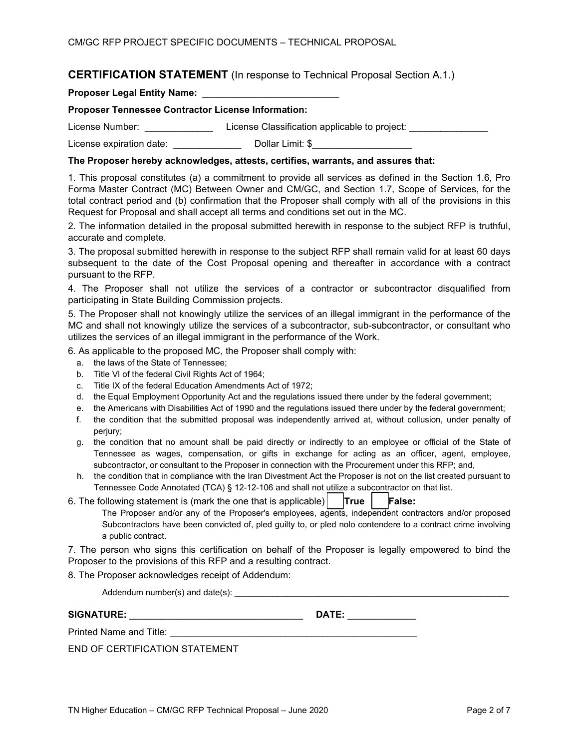## **CERTIFICATION STATEMENT** (In response to Technical Proposal Section A.1.)

Proposer Legal Entity Name: \_\_\_\_

#### **Proposer Tennessee Contractor License Information:**

License Number: \_\_\_\_\_\_\_\_\_\_\_\_\_\_\_\_\_\_\_\_\_License Classification applicable to project: \_\_\_\_\_\_\_\_\_\_\_\_\_\_\_\_

License expiration date: \_\_\_\_\_\_\_\_\_\_\_\_\_\_\_\_\_\_\_\_ Dollar Limit: \$\_\_\_\_\_\_\_\_\_\_\_\_\_\_\_\_\_\_\_

### **The Proposer hereby acknowledges, attests, certifies, warrants, and assures that:**

1. This proposal constitutes (a) a commitment to provide all services as defined in the Section 1.6, Pro Forma Master Contract (MC) Between Owner and CM/GC, and Section 1.7, Scope of Services, for the total contract period and (b) confirmation that the Proposer shall comply with all of the provisions in this Request for Proposal and shall accept all terms and conditions set out in the MC.

2. The information detailed in the proposal submitted herewith in response to the subject RFP is truthful, accurate and complete.

3. The proposal submitted herewith in response to the subject RFP shall remain valid for at least 60 days subsequent to the date of the Cost Proposal opening and thereafter in accordance with a contract pursuant to the RFP.

4. The Proposer shall not utilize the services of a contractor or subcontractor disqualified from participating in State Building Commission projects.

5. The Proposer shall not knowingly utilize the services of an illegal immigrant in the performance of the MC and shall not knowingly utilize the services of a subcontractor, sub-subcontractor, or consultant who utilizes the services of an illegal immigrant in the performance of the Work.

6. As applicable to the proposed MC, the Proposer shall comply with:

- a. the laws of the State of Tennessee;
- b. Title VI of the federal Civil Rights Act of 1964;
- c. Title IX of the federal Education Amendments Act of 1972;
- d. the Equal Employment Opportunity Act and the regulations issued there under by the federal government;
- e. the Americans with Disabilities Act of 1990 and the regulations issued there under by the federal government;
- f. the condition that the submitted proposal was independently arrived at, without collusion, under penalty of perjury;
- g. the condition that no amount shall be paid directly or indirectly to an employee or official of the State of Tennessee as wages, compensation, or gifts in exchange for acting as an officer, agent, employee, subcontractor, or consultant to the Proposer in connection with the Procurement under this RFP; and,
- h. the condition that in compliance with the Iran Divestment Act the Proposer is not on the list created pursuant to Tennessee Code Annotated (TCA) § 12-12-106 and shall not utilize a subcontractor on that list.
- 6. The following statement is (mark the one that is applicable)  $\vert \text{True} \vert$   $\vert \text{False:}$ The Proposer and/or any of the Proposer's employees, agents, independent contractors and/or proposed Subcontractors have been convicted of, pled guilty to, or pled nolo contendere to a contract crime involving a public contract.

7. The person who signs this certification on behalf of the Proposer is legally empowered to bind the Proposer to the provisions of this RFP and a resulting contract.

8. The Proposer acknowledges receipt of Addendum:

Addendum number(s) and date(s):  $\Box$ 

| <b>SIGNATURE:</b> | <b>DATT</b> |  |
|-------------------|-------------|--|
|-------------------|-------------|--|

Printed Name and Title:

END OF CERTIFICATION STATEMENT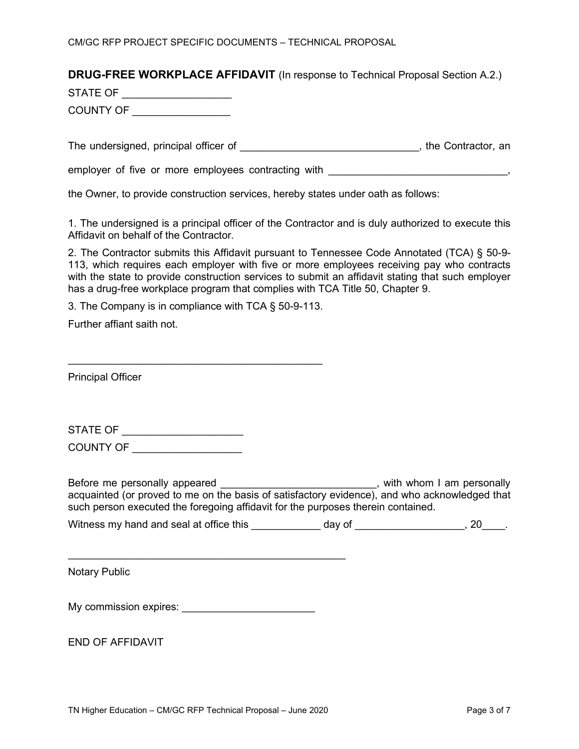# **DRUG-FREE WORKPLACE AFFIDAVIT** (In response to Technical Proposal Section A.2.)

STATE OF \_\_\_\_\_\_\_\_\_\_\_\_\_\_\_\_\_\_\_

COUNTY OF \_\_\_\_\_\_\_\_\_\_\_\_\_\_\_\_\_

The undersigned, principal officer of  $\blacksquare$ 

employer of five or more employees contracting with \_\_\_\_\_\_\_\_\_\_\_\_\_\_\_\_\_\_\_\_\_\_\_\_\_\_\_\_,

the Owner, to provide construction services, hereby states under oath as follows:

1. The undersigned is a principal officer of the Contractor and is duly authorized to execute this Affidavit on behalf of the Contractor.

2. The Contractor submits this Affidavit pursuant to Tennessee Code Annotated (TCA) § 50-9- 113, which requires each employer with five or more employees receiving pay who contracts with the state to provide construction services to submit an affidavit stating that such employer has a drug-free workplace program that complies with TCA Title 50, Chapter 9.

3. The Company is in compliance with TCA § 50-9-113.

\_\_\_\_\_\_\_\_\_\_\_\_\_\_\_\_\_\_\_\_\_\_\_\_\_\_\_\_\_\_\_\_\_\_\_\_\_\_\_\_\_\_\_\_

Further affiant saith not.

Principal Officer

| <b>STATE OF</b> |
|-----------------|
|-----------------|

COUNTY OF \_\_\_\_\_\_\_\_\_\_\_\_\_\_\_\_\_\_\_

Before me personally appeared \_\_\_\_\_\_\_\_\_\_\_\_\_\_\_\_\_\_\_\_\_\_\_\_\_\_\_\_, with whom I am personally acquainted (or proved to me on the basis of satisfactory evidence), and who acknowledged that such person executed the foregoing affidavit for the purposes therein contained.

| Witness my hand and seal at office this | dav of |  |  |  |
|-----------------------------------------|--------|--|--|--|
|-----------------------------------------|--------|--|--|--|

Notary Public

My commission expires: \_\_\_\_\_\_\_\_\_\_\_\_\_\_\_\_\_\_\_\_\_\_\_

 $\frac{1}{2}$  ,  $\frac{1}{2}$  ,  $\frac{1}{2}$  ,  $\frac{1}{2}$  ,  $\frac{1}{2}$  ,  $\frac{1}{2}$  ,  $\frac{1}{2}$  ,  $\frac{1}{2}$  ,  $\frac{1}{2}$  ,  $\frac{1}{2}$  ,  $\frac{1}{2}$  ,  $\frac{1}{2}$  ,  $\frac{1}{2}$  ,  $\frac{1}{2}$  ,  $\frac{1}{2}$  ,  $\frac{1}{2}$  ,  $\frac{1}{2}$  ,  $\frac{1}{2}$  ,  $\frac{1$ 

END OF AFFIDAVIT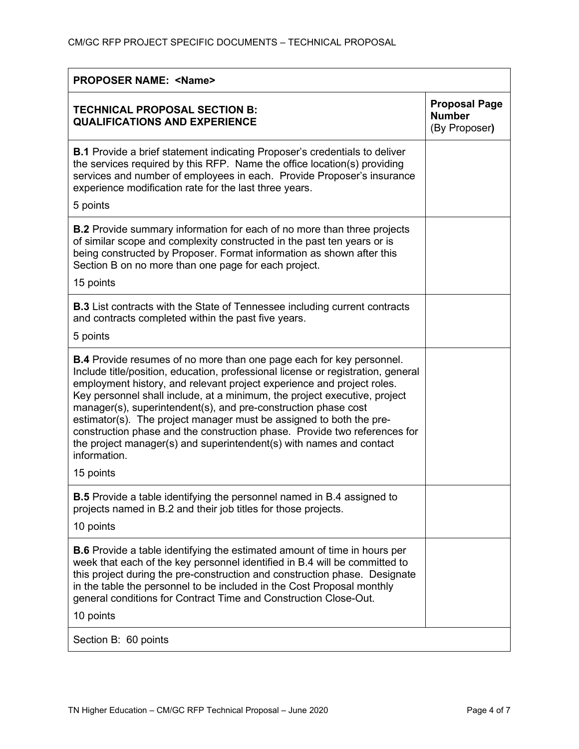| <b>PROPOSER NAME: <name></name></b>                                                                                                                                                                                                                                                                                                                                                                                                                                                                                                                                                                                                 |                                                        |  |
|-------------------------------------------------------------------------------------------------------------------------------------------------------------------------------------------------------------------------------------------------------------------------------------------------------------------------------------------------------------------------------------------------------------------------------------------------------------------------------------------------------------------------------------------------------------------------------------------------------------------------------------|--------------------------------------------------------|--|
| <b>TECHNICAL PROPOSAL SECTION B:</b><br><b>QUALIFICATIONS AND EXPERIENCE</b>                                                                                                                                                                                                                                                                                                                                                                                                                                                                                                                                                        | <b>Proposal Page</b><br><b>Number</b><br>(By Proposer) |  |
| <b>B.1</b> Provide a brief statement indicating Proposer's credentials to deliver<br>the services required by this RFP. Name the office location(s) providing<br>services and number of employees in each. Provide Proposer's insurance<br>experience modification rate for the last three years.<br>5 points                                                                                                                                                                                                                                                                                                                       |                                                        |  |
| <b>B.2</b> Provide summary information for each of no more than three projects<br>of similar scope and complexity constructed in the past ten years or is<br>being constructed by Proposer. Format information as shown after this<br>Section B on no more than one page for each project.<br>15 points                                                                                                                                                                                                                                                                                                                             |                                                        |  |
| <b>B.3</b> List contracts with the State of Tennessee including current contracts<br>and contracts completed within the past five years.                                                                                                                                                                                                                                                                                                                                                                                                                                                                                            |                                                        |  |
| 5 points                                                                                                                                                                                                                                                                                                                                                                                                                                                                                                                                                                                                                            |                                                        |  |
| <b>B.4</b> Provide resumes of no more than one page each for key personnel.<br>Include title/position, education, professional license or registration, general<br>employment history, and relevant project experience and project roles.<br>Key personnel shall include, at a minimum, the project executive, project<br>manager(s), superintendent(s), and pre-construction phase cost<br>estimator(s). The project manager must be assigned to both the pre-<br>construction phase and the construction phase. Provide two references for<br>the project manager(s) and superintendent(s) with names and contact<br>information. |                                                        |  |
| 15 points                                                                                                                                                                                                                                                                                                                                                                                                                                                                                                                                                                                                                           |                                                        |  |
| <b>B.5</b> Provide a table identifying the personnel named in B.4 assigned to<br>projects named in B.2 and their job titles for those projects.                                                                                                                                                                                                                                                                                                                                                                                                                                                                                     |                                                        |  |
| 10 points                                                                                                                                                                                                                                                                                                                                                                                                                                                                                                                                                                                                                           |                                                        |  |
| <b>B.6</b> Provide a table identifying the estimated amount of time in hours per<br>week that each of the key personnel identified in B.4 will be committed to<br>this project during the pre-construction and construction phase. Designate<br>in the table the personnel to be included in the Cost Proposal monthly<br>general conditions for Contract Time and Construction Close-Out.<br>10 points                                                                                                                                                                                                                             |                                                        |  |
| Section B: 60 points                                                                                                                                                                                                                                                                                                                                                                                                                                                                                                                                                                                                                |                                                        |  |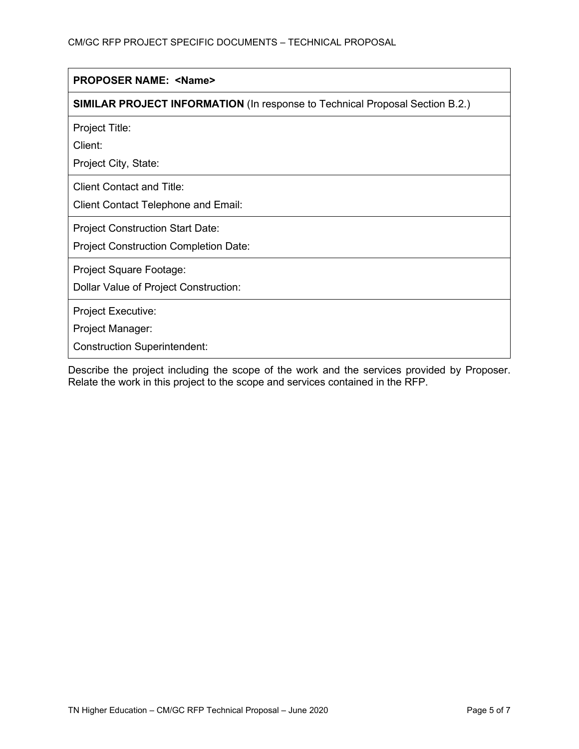| <b>PROPOSER NAME: <name></name></b>                                                 |
|-------------------------------------------------------------------------------------|
| <b>SIMILAR PROJECT INFORMATION (In response to Technical Proposal Section B.2.)</b> |
| Project Title:<br>Client:<br>Project City, State:                                   |
| <b>Client Contact and Title:</b><br><b>Client Contact Telephone and Email:</b>      |
| <b>Project Construction Start Date:</b><br>Project Construction Completion Date:    |
| Project Square Footage:<br>Dollar Value of Project Construction:                    |
| Project Executive:<br>Project Manager:<br><b>Construction Superintendent:</b>       |

Describe the project including the scope of the work and the services provided by Proposer. Relate the work in this project to the scope and services contained in the RFP.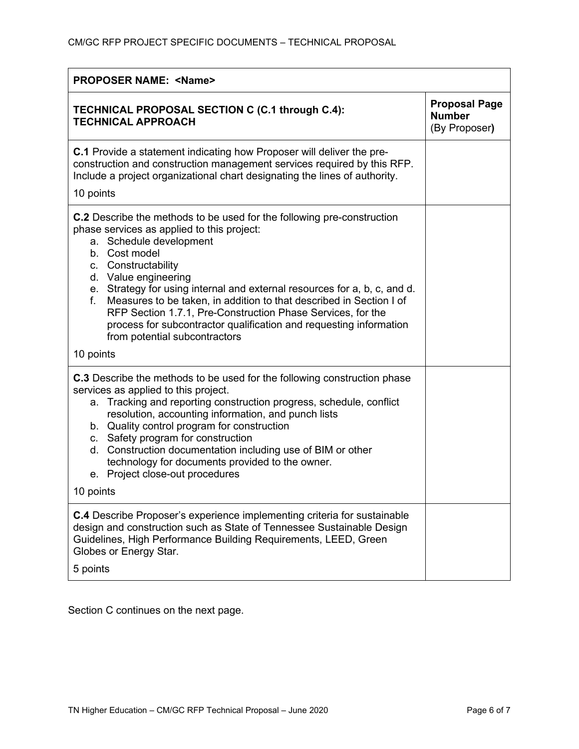| <b>PROPOSER NAME: <name></name></b>                                                                                                                                                                                                                                                                                                                                                                                                                                                                                                                    |                                                        |  |
|--------------------------------------------------------------------------------------------------------------------------------------------------------------------------------------------------------------------------------------------------------------------------------------------------------------------------------------------------------------------------------------------------------------------------------------------------------------------------------------------------------------------------------------------------------|--------------------------------------------------------|--|
| TECHNICAL PROPOSAL SECTION C (C.1 through C.4):<br><b>TECHNICAL APPROACH</b>                                                                                                                                                                                                                                                                                                                                                                                                                                                                           | <b>Proposal Page</b><br><b>Number</b><br>(By Proposer) |  |
| <b>C.1</b> Provide a statement indicating how Proposer will deliver the pre-<br>construction and construction management services required by this RFP.<br>Include a project organizational chart designating the lines of authority.<br>10 points                                                                                                                                                                                                                                                                                                     |                                                        |  |
| <b>C.2</b> Describe the methods to be used for the following pre-construction<br>phase services as applied to this project:<br>a. Schedule development<br>b. Cost model<br>c. Constructability<br>d. Value engineering<br>e. Strategy for using internal and external resources for a, b, c, and d.<br>Measures to be taken, in addition to that described in Section I of<br>f.<br>RFP Section 1.7.1, Pre-Construction Phase Services, for the<br>process for subcontractor qualification and requesting information<br>from potential subcontractors |                                                        |  |
| 10 points                                                                                                                                                                                                                                                                                                                                                                                                                                                                                                                                              |                                                        |  |
| <b>C.3</b> Describe the methods to be used for the following construction phase<br>services as applied to this project.<br>a. Tracking and reporting construction progress, schedule, conflict<br>resolution, accounting information, and punch lists<br>b. Quality control program for construction<br>c. Safety program for construction<br>d. Construction documentation including use of BIM or other<br>technology for documents provided to the owner.<br>e. Project close-out procedures                                                        |                                                        |  |
| 10 points                                                                                                                                                                                                                                                                                                                                                                                                                                                                                                                                              |                                                        |  |
| <b>C.4</b> Describe Proposer's experience implementing criteria for sustainable<br>design and construction such as State of Tennessee Sustainable Design<br>Guidelines, High Performance Building Requirements, LEED, Green<br>Globes or Energy Star.<br>5 points                                                                                                                                                                                                                                                                                      |                                                        |  |

Section C continues on the next page.